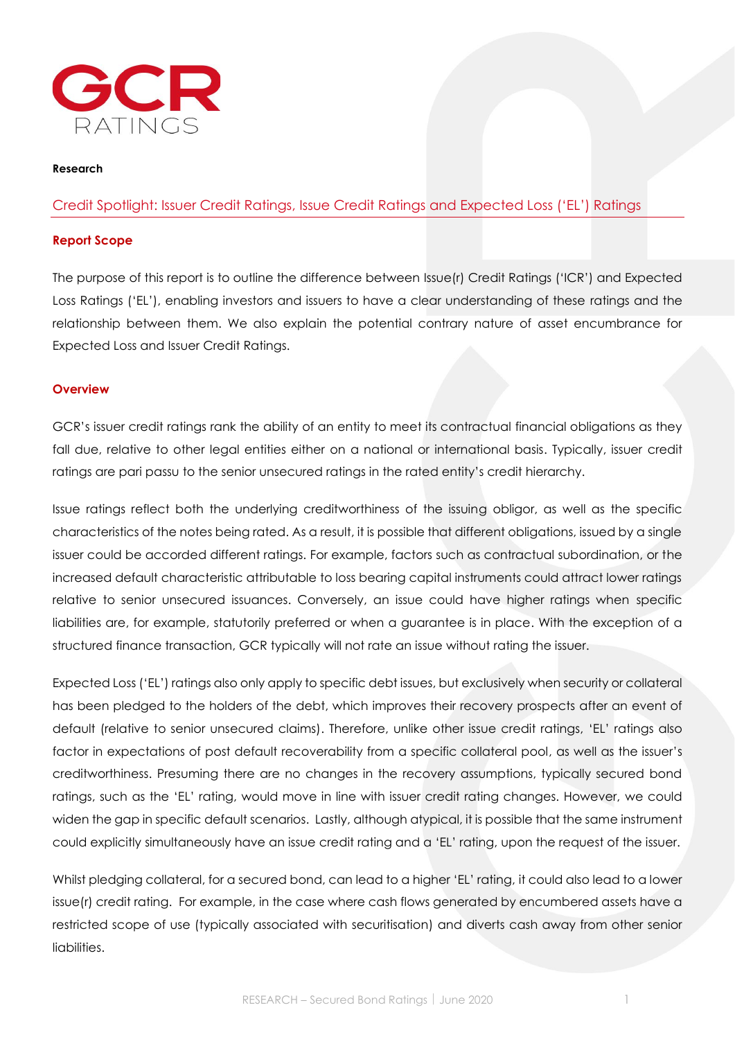

#### **Research**

# Credit Spotlight: Issuer Credit Ratings, Issue Credit Ratings and Expected Loss ('EL') Ratings

#### **Report Scope**

The purpose of this report is to outline the difference between Issue(r) Credit Ratings ('ICR') and Expected Loss Ratings ('EL'), enabling investors and issuers to have a clear understanding of these ratings and the relationship between them. We also explain the potential contrary nature of asset encumbrance for Expected Loss and Issuer Credit Ratings.

#### **Overview**

GCR's issuer credit ratings rank the ability of an entity to meet its contractual financial obligations as they fall due, relative to other legal entities either on a national or international basis. Typically, issuer credit ratings are pari passu to the senior unsecured ratings in the rated entity's credit hierarchy.

Issue ratings reflect both the underlying creditworthiness of the issuing obligor, as well as the specific characteristics of the notes being rated. As a result, it is possible that different obligations, issued by a single issuer could be accorded different ratings. For example, factors such as contractual subordination, or the increased default characteristic attributable to loss bearing capital instruments could attract lower ratings relative to senior unsecured issuances. Conversely, an issue could have higher ratings when specific liabilities are, for example, statutorily preferred or when a guarantee is in place. With the exception of a structured finance transaction, GCR typically will not rate an issue without rating the issuer.

Expected Loss ('EL') ratings also only apply to specific debt issues, but exclusively when security or collateral has been pledged to the holders of the debt, which improves their recovery prospects after an event of default (relative to senior unsecured claims). Therefore, unlike other issue credit ratings, 'EL' ratings also factor in expectations of post default recoverability from a specific collateral pool, as well as the issuer's creditworthiness. Presuming there are no changes in the recovery assumptions, typically secured bond ratings, such as the 'EL' rating, would move in line with issuer credit rating changes. However, we could widen the gap in specific default scenarios. Lastly, although atypical, it is possible that the same instrument could explicitly simultaneously have an issue credit rating and a 'EL' rating, upon the request of the issuer.

Whilst pledging collateral, for a secured bond, can lead to a higher 'EL' rating, it could also lead to a lower issue(r) credit rating. For example, in the case where cash flows generated by encumbered assets have a restricted scope of use (typically associated with securitisation) and diverts cash away from other senior liabilities.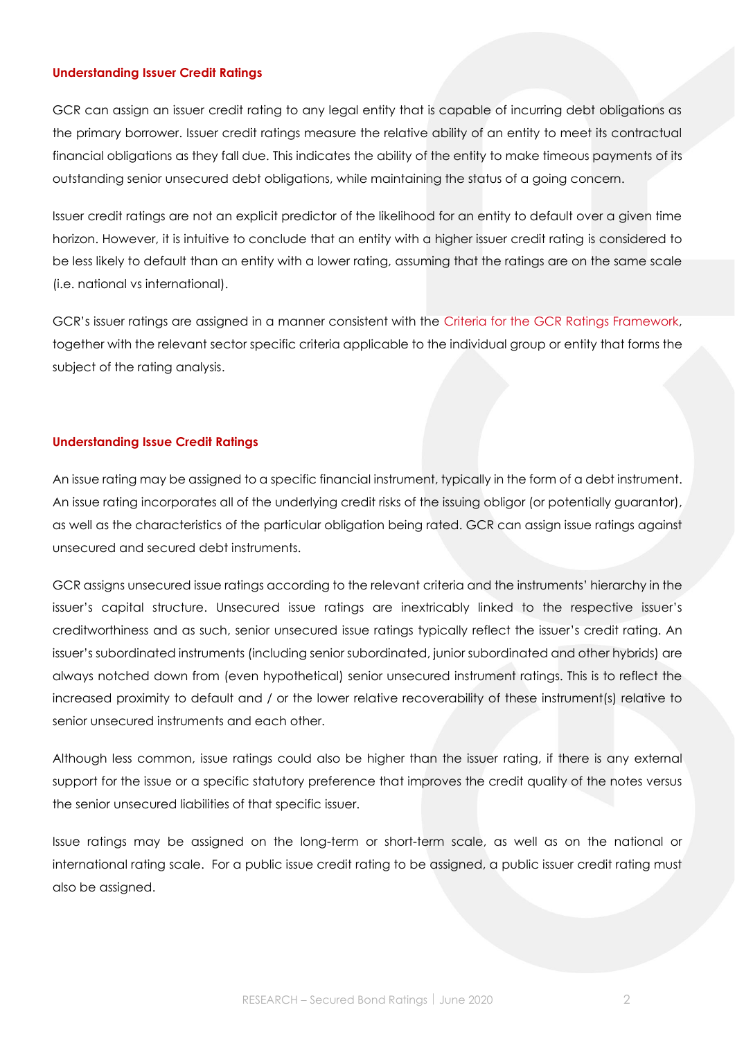## **Understanding Issuer Credit Ratings**

GCR can assign an issuer credit rating to any legal entity that is capable of incurring debt obligations as the primary borrower. Issuer credit ratings measure the relative ability of an entity to meet its contractual financial obligations as they fall due. This indicates the ability of the entity to make timeous payments of its outstanding senior unsecured debt obligations, while maintaining the status of a going concern.

Issuer credit ratings are not an explicit predictor of the likelihood for an entity to default over a given time horizon. However, it is intuitive to conclude that an entity with a higher issuer credit rating is considered to be less likely to default than an entity with a lower rating, assuming that the ratings are on the same scale (i.e. national vs international).

GCR's issuer ratings are assigned in a manner consistent with the [Criteria for the GCR Ratings Framework,](https://gcrratings.com/criteria/) together with the relevant sector specific criteria applicable to the individual group or entity that forms the subject of the rating analysis.

## **Understanding Issue Credit Ratings**

An issue rating may be assigned to a specific financial instrument, typically in the form of a debt instrument. An issue rating incorporates all of the underlying credit risks of the issuing obligor (or potentially guarantor), as well as the characteristics of the particular obligation being rated. GCR can assign issue ratings against unsecured and secured debt instruments.

GCR assigns unsecured issue ratings according to the relevant criteria and the instruments' hierarchy in the issuer's capital structure. Unsecured issue ratings are inextricably linked to the respective issuer's creditworthiness and as such, senior unsecured issue ratings typically reflect the issuer's credit rating. An issuer's subordinated instruments (including senior subordinated, junior subordinated and other hybrids) are always notched down from (even hypothetical) senior unsecured instrument ratings. This is to reflect the increased proximity to default and / or the lower relative recoverability of these instrument(s) relative to senior unsecured instruments and each other.

Although less common, issue ratings could also be higher than the issuer rating, if there is any external support for the issue or a specific statutory preference that improves the credit quality of the notes versus the senior unsecured liabilities of that specific issuer.

Issue ratings may be assigned on the long-term or short-term scale, as well as on the national or international rating scale. For a public issue credit rating to be assigned, a public issuer credit rating must also be assigned.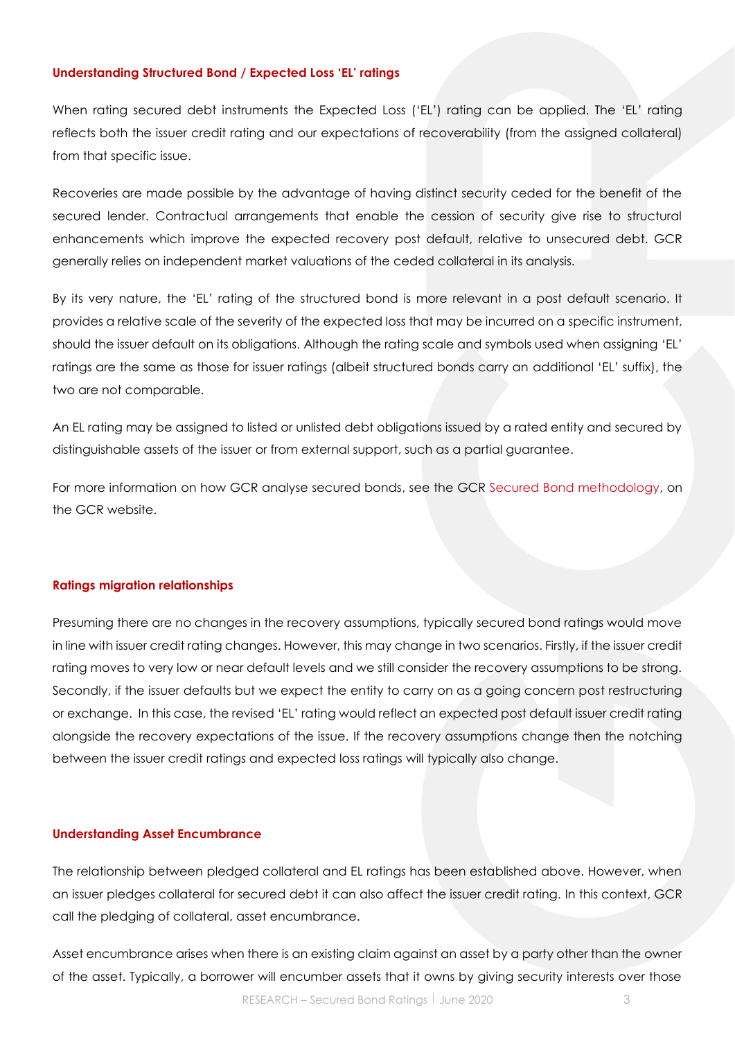## **Understanding Structured Bond / Expected Loss 'EL' ratings**

When rating secured debt instruments the Expected Loss ('EL') rating can be applied. The 'EL' rating reflects both the issuer credit rating and our expectations of recoverability (from the assigned collateral) from that specific issue.

Recoveries are made possible by the advantage of having distinct security ceded for the benefit of the secured lender. Contractual arrangements that enable the cession of security give rise to structural enhancements which improve the expected recovery post default, relative to unsecured debt. GCR generally relies on independent market valuations of the ceded collateral in its analysis.

By its very nature, the 'EL' rating of the structured bond is more relevant in a post default scenario. It provides a relative scale of the severity of the expected loss that may be incurred on a specific instrument, should the issuer default on its obligations. Although the rating scale and symbols used when assigning 'EL' ratings are the same as those for issuer ratings (albeit structured bonds carry an additional 'EL' suffix), the two are not comparable.

An EL rating may be assigned to listed or unlisted debt obligations issued by a rated entity and secured by distinguishable assets of the issuer or from external support, such as a partial guarantee.

For more information on how GCR analyse secured bonds, see the GCR [Secured Bond methodology,](https://gcrratings.com/wp-content/uploads/2019/09/GCR-Secured-Bonds-Criteria-update-2018.pdf) on the GCR website.

## **Ratings migration relationships**

Presuming there are no changes in the recovery assumptions, typically secured bond ratings would move in line with issuer credit rating changes. However, this may change in two scenarios. Firstly, if the issuer credit rating moves to very low or near default levels and we still consider the recovery assumptions to be strong. Secondly, if the issuer defaults but we expect the entity to carry on as a going concern post restructuring or exchange. In this case, the revised 'EL' rating would reflect an expected post default issuer credit rating alongside the recovery expectations of the issue. If the recovery assumptions change then the notching between the issuer credit ratings and expected loss ratings will typically also change.

#### **Understanding Asset Encumbrance**

The relationship between pledged collateral and EL ratings has been established above. However, when an issuer pledges collateral for secured debt it can also affect the issuer credit rating. In this context, GCR call the pledging of collateral, asset encumbrance.

Asset encumbrance arises when there is an existing claim against an asset by a party other than the owner of the asset. Typically, a borrower will encumber assets that it owns by giving security interests over those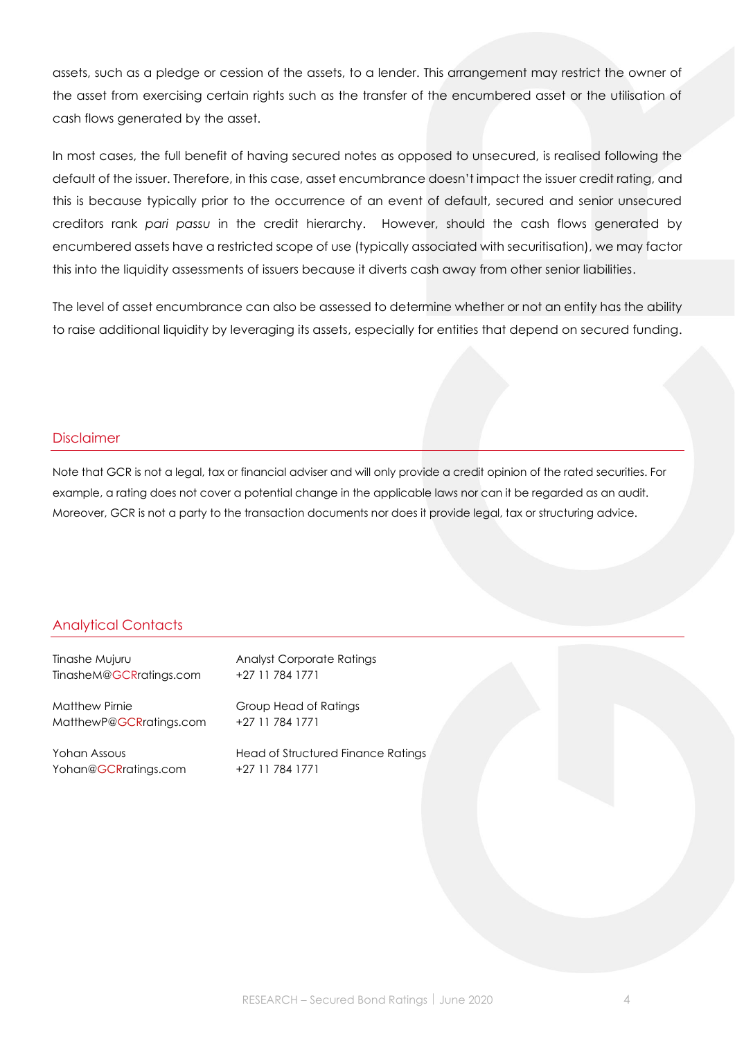assets, such as a pledge or cession of the assets, to a lender. This arrangement may restrict the owner of the asset from exercising certain rights such as the transfer of the encumbered asset or the utilisation of cash flows generated by the asset.

In most cases, the full benefit of having secured notes as opposed to unsecured, is realised following the default of the issuer. Therefore, in this case, asset encumbrance doesn't impact the issuer credit rating, and this is because typically prior to the occurrence of an event of default, secured and senior unsecured creditors rank *pari passu* in the credit hierarchy. However, should the cash flows generated by encumbered assets have a restricted scope of use (typically associated with securitisation), we may factor this into the liquidity assessments of issuers because it diverts cash away from other senior liabilities.

The level of asset encumbrance can also be assessed to determine whether or not an entity has the ability to raise additional liquidity by leveraging its assets, especially for entities that depend on secured funding.

## Disclaimer

Note that GCR is not a legal, tax or financial adviser and will only provide a credit opinion of the rated securities. For example, a rating does not cover a potential change in the applicable laws nor can it be regarded as an audit. Moreover, GCR is not a party to the transaction documents nor does it provide legal, tax or structuring advice.

# Analytical Contacts

Tinashe Mujuru Analyst Corporate Ratings [TinasheM@GCRratings.com](mailto:TinasheM@GCRratings.com) +27 11 784 1771

Matthew Pirnie Group Head of Ratings [MatthewP@GCRratings.com](mailto:MatthewP@GCRratings.com) +27 11 784 1771

[Yohan@GCRratings.com](mailto:YohanA@GCRratings.com) +27 11 784 1771

Yohan Assous **Head of Structured Finance Ratings**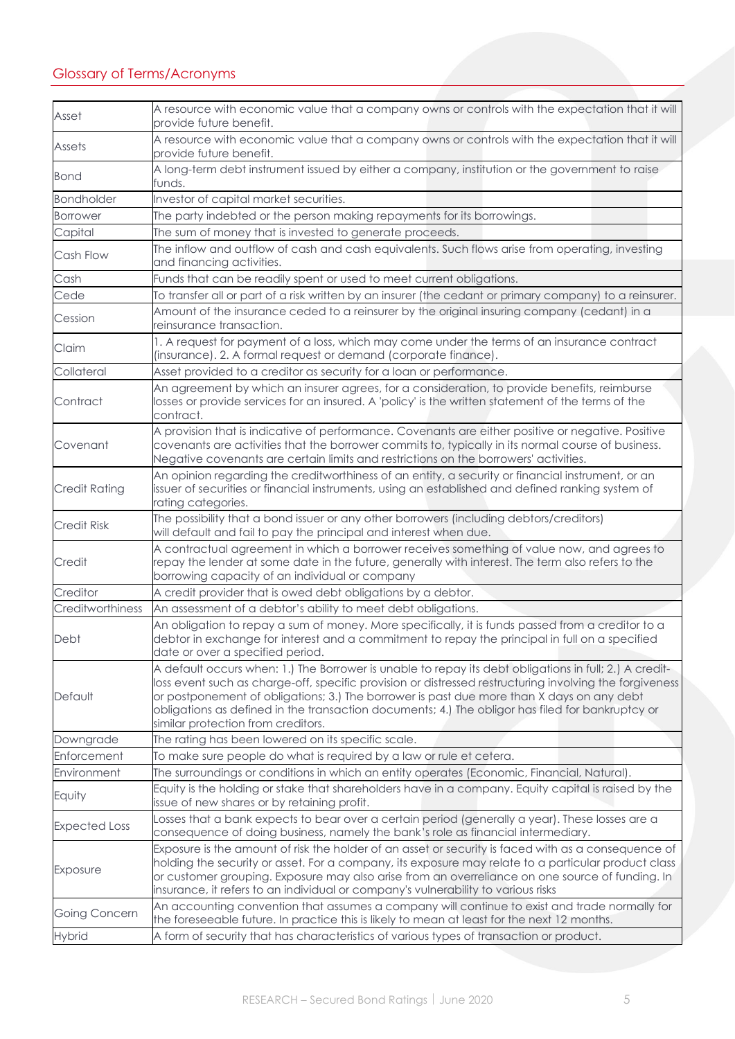| Asset                | A resource with economic value that a company owns or controls with the expectation that it will<br>provide future benefit.                                                                                                                                                                                                                                                                                                                              |
|----------------------|----------------------------------------------------------------------------------------------------------------------------------------------------------------------------------------------------------------------------------------------------------------------------------------------------------------------------------------------------------------------------------------------------------------------------------------------------------|
| Assets               | A resource with economic value that a company owns or controls with the expectation that it will<br>provide future benefit.                                                                                                                                                                                                                                                                                                                              |
| <b>Bond</b>          | A long-term debt instrument issued by either a company, institution or the government to raise<br>funds.                                                                                                                                                                                                                                                                                                                                                 |
| <b>Bondholder</b>    | Investor of capital market securities.                                                                                                                                                                                                                                                                                                                                                                                                                   |
| Borrower             | The party indebted or the person making repayments for its borrowings.                                                                                                                                                                                                                                                                                                                                                                                   |
| Capital              | The sum of money that is invested to generate proceeds.                                                                                                                                                                                                                                                                                                                                                                                                  |
| Cash Flow            | The inflow and outflow of cash and cash equivalents. Such flows arise from operating, investing<br>and financing activities.                                                                                                                                                                                                                                                                                                                             |
| Cash                 | Funds that can be readily spent or used to meet current obligations.                                                                                                                                                                                                                                                                                                                                                                                     |
| Cede                 | To transfer all or part of a risk written by an insurer (the cedant or primary company) to a reinsurer.                                                                                                                                                                                                                                                                                                                                                  |
| Cession              | Amount of the insurance ceded to a reinsurer by the original insuring company (cedant) in a<br>reinsurance transaction.                                                                                                                                                                                                                                                                                                                                  |
| Claim                | 1. A request for payment of a loss, which may come under the terms of an insurance contract<br>(insurance). 2. A formal request or demand (corporate finance).                                                                                                                                                                                                                                                                                           |
| Collateral           | Asset provided to a creditor as security for a loan or performance.                                                                                                                                                                                                                                                                                                                                                                                      |
| Contract             | An agreement by which an insurer agrees, for a consideration, to provide benefits, reimburse<br>losses or provide services for an insured. A 'policy' is the written statement of the terms of the<br>contract.                                                                                                                                                                                                                                          |
| Covenant             | A provision that is indicative of performance. Covenants are either positive or negative. Positive<br>covenants are activities that the borrower commits to, typically in its normal course of business.<br>Negative covenants are certain limits and restrictions on the borrowers' activities.                                                                                                                                                         |
| <b>Credit Rating</b> | An opinion regarding the creditworthiness of an entity, a security or financial instrument, or an<br>issuer of securities or financial instruments, using an established and defined ranking system of<br>rating categories.                                                                                                                                                                                                                             |
| <b>Credit Risk</b>   | The possibility that a bond issuer or any other borrowers (including debtors/creditors)<br>will default and fail to pay the principal and interest when due.                                                                                                                                                                                                                                                                                             |
| Credit               | A contractual agreement in which a borrower receives something of value now, and agrees to<br>repay the lender at some date in the future, generally with interest. The term also refers to the<br>borrowing capacity of an individual or company                                                                                                                                                                                                        |
| Creditor             | A credit provider that is owed debt obligations by a debtor.                                                                                                                                                                                                                                                                                                                                                                                             |
| Creditworthiness     | An assessment of a debtor's ability to meet debt obligations.                                                                                                                                                                                                                                                                                                                                                                                            |
| Debt                 | An obligation to repay a sum of money. More specifically, it is funds passed from a creditor to a<br>debtor in exchange for interest and a commitment to repay the principal in full on a specified<br>date or over a specified period.                                                                                                                                                                                                                  |
| Default              | A default occurs when: 1.) The Borrower is unable to repay its debt obligations in full; 2.) A credit-<br>loss event such as charge-off, specific provision or distressed restructuring involving the forgiveness<br>or postponement of obligations; 3.) The borrower is past due more than X days on any debt<br>obligations as defined in the transaction documents; 4.) The obligor has filed for bankruptcy or<br>similar protection from creditors. |
| Downgrade            | The rating has been lowered on its specific scale.                                                                                                                                                                                                                                                                                                                                                                                                       |
| Enforcement          | To make sure people do what is required by a law or rule et cetera.                                                                                                                                                                                                                                                                                                                                                                                      |
| Environment          | The surroundings or conditions in which an entity operates (Economic, Financial, Natural).                                                                                                                                                                                                                                                                                                                                                               |
| Equity               | Equity is the holding or stake that shareholders have in a company. Equity capital is raised by the<br>issue of new shares or by retaining profit.                                                                                                                                                                                                                                                                                                       |
| <b>Expected Loss</b> | Losses that a bank expects to bear over a certain period (generally a year). These losses are a<br>consequence of doing business, namely the bank's role as financial intermediary.                                                                                                                                                                                                                                                                      |
| Exposure             | Exposure is the amount of risk the holder of an asset or security is faced with as a consequence of<br>holding the security or asset. For a company, its exposure may relate to a particular product class<br>or customer grouping. Exposure may also arise from an overreliance on one source of funding. In<br>insurance, it refers to an individual or company's vulnerability to various risks                                                       |
| Going Concern        | An accounting convention that assumes a company will continue to exist and trade normally for<br>the foreseeable future. In practice this is likely to mean at least for the next 12 months.                                                                                                                                                                                                                                                             |
| <b>Hybrid</b>        | A form of security that has characteristics of various types of transaction or product.                                                                                                                                                                                                                                                                                                                                                                  |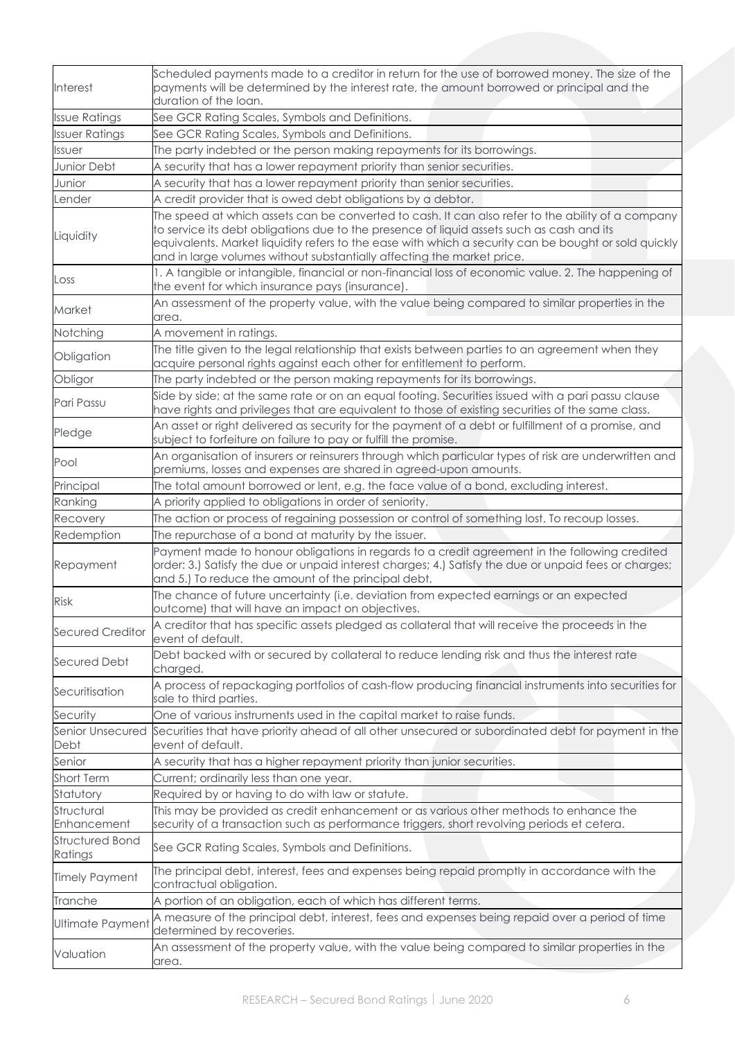| <b>Interest</b>                   | Scheduled payments made to a creditor in return for the use of borrowed money. The size of the<br>payments will be determined by the interest rate, the amount borrowed or principal and the<br>duration of the loan.                                                                                                                                                            |
|-----------------------------------|----------------------------------------------------------------------------------------------------------------------------------------------------------------------------------------------------------------------------------------------------------------------------------------------------------------------------------------------------------------------------------|
| <b>Issue Ratings</b>              | See GCR Rating Scales, Symbols and Definitions.                                                                                                                                                                                                                                                                                                                                  |
| <b>Issuer Ratings</b>             | See GCR Rating Scales, Symbols and Definitions.                                                                                                                                                                                                                                                                                                                                  |
| Issuer                            | The party indebted or the person making repayments for its borrowings.                                                                                                                                                                                                                                                                                                           |
| Junior Debt                       | A security that has a lower repayment priority than senior securities.                                                                                                                                                                                                                                                                                                           |
| Junior                            | A security that has a lower repayment priority than senior securities.                                                                                                                                                                                                                                                                                                           |
| Lender                            | A credit provider that is owed debt obligations by a debtor.                                                                                                                                                                                                                                                                                                                     |
| Liquidity                         | The speed at which assets can be converted to cash. It can also refer to the ability of a company<br>to service its debt obligations due to the presence of liquid assets such as cash and its<br>equivalents. Market liquidity refers to the ease with which a security can be bought or sold quickly<br>and in large volumes without substantially affecting the market price. |
| Loss                              | 1. A tangible or intangible, financial or non-financial loss of economic value. 2. The happening of<br>the event for which insurance pays (insurance).                                                                                                                                                                                                                           |
| Market                            | An assessment of the property value, with the value being compared to similar properties in the<br>area.                                                                                                                                                                                                                                                                         |
| Notching                          | A movement in ratings.                                                                                                                                                                                                                                                                                                                                                           |
| Obligation                        | The title given to the legal relationship that exists between parties to an agreement when they<br>acquire personal rights against each other for entitlement to perform.                                                                                                                                                                                                        |
| Obligor                           | The party indebted or the person making repayments for its borrowings.                                                                                                                                                                                                                                                                                                           |
| Pari Passu                        | Side by side; at the same rate or on an equal footing. Securities issued with a pari passu clause<br>have rights and privileges that are equivalent to those of existing securities of the same class.                                                                                                                                                                           |
| Pledge                            | An asset or right delivered as security for the payment of a debt or fulfillment of a promise, and<br>subject to forfeiture on failure to pay or fulfill the promise.                                                                                                                                                                                                            |
| Pool                              | An organisation of insurers or reinsurers through which particular types of risk are underwritten and<br>premiums, losses and expenses are shared in agreed-upon amounts.                                                                                                                                                                                                        |
| Principal                         | The total amount borrowed or lent, e.g. the face value of a bond, excluding interest.                                                                                                                                                                                                                                                                                            |
| Ranking                           | A priority applied to obligations in order of seniority.                                                                                                                                                                                                                                                                                                                         |
| Recovery                          | The action or process of regaining possession or control of something lost. To recoup losses.                                                                                                                                                                                                                                                                                    |
| Redemption                        | The repurchase of a bond at maturity by the issuer.                                                                                                                                                                                                                                                                                                                              |
| Repayment                         | Payment made to honour obligations in regards to a credit agreement in the following credited<br>order: 3.) Satisfy the due or unpaid interest charges; 4.) Satisfy the due or unpaid fees or charges;<br>and 5.) To reduce the amount of the principal debt.                                                                                                                    |
| <b>Risk</b>                       | The chance of future uncertainty (i.e. deviation from expected earnings or an expected<br>outcome) that will have an impact on objectives.                                                                                                                                                                                                                                       |
| <b>Secured Creditor</b>           | A creditor that has specific assets pledged as collateral that will receive the proceeds in the<br>event of default.                                                                                                                                                                                                                                                             |
| <b>Secured Debt</b>               | Debt backed with or secured by collateral to reduce lending risk and thus the interest rate<br>charged.                                                                                                                                                                                                                                                                          |
| Securitisation                    | A process of repackaging portfolios of cash-flow producing financial instruments into securities for<br>sale to third parties.                                                                                                                                                                                                                                                   |
| Security                          | One of various instruments used in the capital market to raise funds.                                                                                                                                                                                                                                                                                                            |
| Senior Unsecured<br>Debt          | Securities that have priority ahead of all other unsecured or subordinated debt for payment in the<br>event of default.                                                                                                                                                                                                                                                          |
| Senior                            | A security that has a higher repayment priority than junior securities.                                                                                                                                                                                                                                                                                                          |
| <b>Short Term</b>                 | Current; ordinarily less than one year.                                                                                                                                                                                                                                                                                                                                          |
| Statutory                         | Required by or having to do with law or statute.                                                                                                                                                                                                                                                                                                                                 |
| Structural                        | This may be provided as credit enhancement or as various other methods to enhance the                                                                                                                                                                                                                                                                                            |
| Enhancement                       | security of a transaction such as performance triggers, short revolving periods et cetera.                                                                                                                                                                                                                                                                                       |
| <b>Structured Bond</b><br>Ratings | See GCR Rating Scales, Symbols and Definitions.                                                                                                                                                                                                                                                                                                                                  |
| <b>Timely Payment</b>             | The principal debt, interest, fees and expenses being repaid promptly in accordance with the<br>contractual obligation.                                                                                                                                                                                                                                                          |
| Tranche                           | A portion of an obligation, each of which has different terms.                                                                                                                                                                                                                                                                                                                   |
| <b>Ultimate Payment</b>           | A measure of the principal debt, interest, fees and expenses being repaid over a period of time<br>determined by recoveries.                                                                                                                                                                                                                                                     |
| Valuation                         | An assessment of the property value, with the value being compared to similar properties in the<br>area.                                                                                                                                                                                                                                                                         |